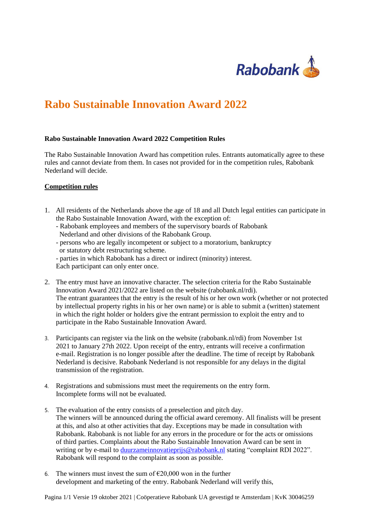

## **Rabo Sustainable Innovation Award 2022**

## **Rabo Sustainable Innovation Award 2022 Competition Rules**

The Rabo Sustainable Innovation Award has competition rules. Entrants automatically agree to these rules and cannot deviate from them. In cases not provided for in the competition rules, Rabobank Nederland will decide.

## **Competition rules**

- 1. All residents of the Netherlands above the age of 18 and all Dutch legal entities can participate in the Rabo Sustainable Innovation Award, with the exception of:
	- Rabobank employees and members of the supervisory boards of Rabobank Nederland and other divisions of the Rabobank Group.
	- persons who are legally incompetent or subject to a moratorium, bankruptcy or statutory debt restructuring scheme.
	- parties in which Rabobank has a direct or indirect (minority) interest. Each participant can only enter once.
- 2. The entry must have an innovative character. The selection criteria for the Rabo Sustainable Innovation Award 2021/2022 are listed on the website (rabobank.nl/rdi). The entrant guarantees that the entry is the result of his or her own work (whether or not protected by intellectual property rights in his or her own name) or is able to submit a (written) statement in which the right holder or holders give the entrant permission to exploit the entry and to participate in the Rabo Sustainable Innovation Award.
- 3. Participants can register via the link on the website (rabobank.nl/rdi) from November 1st 2021 to January 27th 2022. Upon receipt of the entry, entrants will receive a confirmation e-mail. Registration is no longer possible after the deadline. The time of receipt by Rabobank Nederland is decisive. Rabobank Nederland is not responsible for any delays in the digital transmission of the registration.
- 4. Registrations and submissions must meet the requirements on the entry form. Incomplete forms will not be evaluated.
- 5. The evaluation of the entry consists of a preselection and pitch day. The winners will be announced during the official award ceremony. All finalists will be present at this, and also at other activities that day. Exceptions may be made in consultation with Rabobank. Rabobank is not liable for any errors in the procedure or for the acts or omissions of third parties. Complaints about the Rabo Sustainable Innovation Award can be sent in writing or by e-mail to [duurzameinnovatieprijs@rabobank.nl](mailto:duurzameinnovatieprijs@rabobank.nl) stating "complaint RDI 2022". Rabobank will respond to the complaint as soon as possible.
- 6. The winners must invest the sum of  $\epsilon$ 20,000 won in the further development and marketing of the entry. Rabobank Nederland will verify this,

Pagina 1/1 Versie 19 oktober 2021 | Coöperatieve Rabobank UA gevestigd te Amsterdam | KvK 30046259